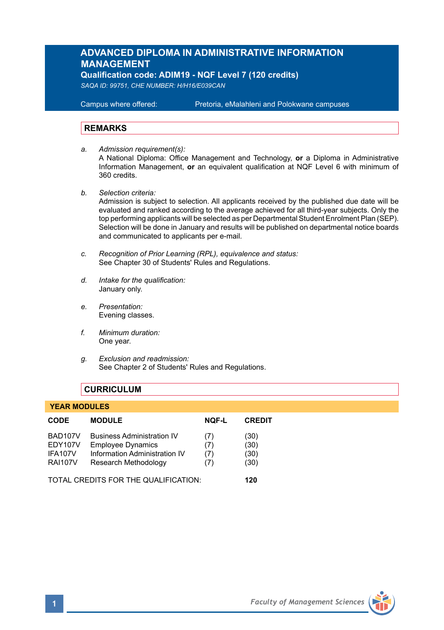# **ADVANCED DIPLOMA IN ADMINISTRATIVE INFORMATION MANAGEMENT**

**Qualification code: ADIM19 - NQF Level 7 (120 credits)** 

*SAQA ID: 99751, CHE NUMBER: H/H16/E039CAN* 

**Campus where offered:** 

Pretoria, eMalahleni and Polokwane campuses

#### **REMARKS**

- *a. Admission requirement(s):*  A National Diploma: Office Management and Technology, **or** a Diploma in Administrative Information Management, **or** an equivalent qualification at NQF Level 6 with minimum of 360 credits.
- *b. Selection criteria:*

Admission is subject to selection. All applicants received by the published due date will be evaluated and ranked according to the average achieved for all third-year subjects. Only the top performing applicants will be selected as per Departmental Student Enrolment Plan (SEP). Selection will be done in January and results will be published on departmental notice boards and communicated to applicants per e-mail.

- *c. Recognition of Prior Learning (RPL), equivalence and status:* See Chapter 30 of Students' Rules and Regulations.
- *d. Intake for the qualification:* January only.
- *e. Presentation:* Evening classes.
- *f. Minimum duration:* One year.
- *g. Exclusion and readmission:* See Chapter 2 of Students' Rules and Regulations.

#### **CURRICULUM**

#### **YEAR MODULES**

| <b>CODE</b>                          | <b>MODULE</b>                     | <b>NOF-L</b> | <b>CREDIT</b> |
|--------------------------------------|-----------------------------------|--------------|---------------|
| BAD107V                              | <b>Business Administration IV</b> | (7)          | (30)          |
| EDY107V                              | <b>Employee Dynamics</b>          | (7)          | (30)          |
| IFA107V                              | Information Administration IV     | (7)          | (30)          |
| <b>RAI107V</b>                       | Research Methodology              | (7)          | (30)          |
| TOTAL CREDITS FOR THE QUALIFICATION: |                                   |              | 120           |